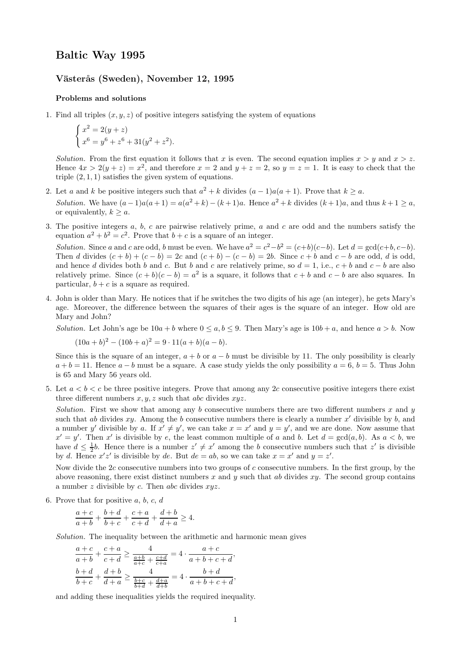## Baltic Way 1995

## Västerås (Sweden), November 12, 1995

## Problems and solutions

1. Find all triples  $(x, y, z)$  of positive integers satisfying the system of equations

$$
\begin{cases}\nx^2 = 2(y+z) \\
x^6 = y^6 + z^6 + 31(y^2 + z^2).\n\end{cases}
$$

Solution. From the first equation it follows that x is even. The second equation implies  $x > y$  and  $x > z$ . Hence  $4x > 2(y + z) = x^2$ , and therefore  $x = 2$  and  $y + z = 2$ , so  $y = z = 1$ . It is easy to check that the triple  $(2, 1, 1)$  satisfies the given system of equations.

- 2. Let a and k be positive integers such that  $a^2 + k$  divides  $(a 1)a(a + 1)$ . Prove that  $k \ge a$ . Solution. We have  $(a-1)a(a+1) = a(a^2+k)-(k+1)a$ . Hence  $a^2+k$  divides  $(k+1)a$ , and thus  $k+1 \ge a$ , or equivalently,  $k > a$ .
- 3. The positive integers  $a, b, c$  are pairwise relatively prime,  $a$  and  $c$  are odd and the numbers satisfy the equation  $a^2 + b^2 = c^2$ . Prove that  $b + c$  is a square of an integer.

Solution. Since a and c are odd, b must be even. We have  $a^2 = c^2 - b^2 = (c+b)(c-b)$ . Let  $d = \gcd(c+b, c-b)$ . Then d divides  $(c + b) + (c - b) = 2c$  and  $(c + b) - (c - b) = 2b$ . Since  $c + b$  and  $c - b$  are odd, d is odd, and hence d divides both b and c. But b and c are relatively prime, so  $d = 1$ , i.e.,  $c + b$  and  $c - b$  are also relatively prime. Since  $(c + b)(c - b) = a^2$  is a square, it follows that  $c + b$  and  $c - b$  are also squares. In particular,  $b + c$  is a square as required.

4. John is older than Mary. He notices that if he switches the two digits of his age (an integer), he gets Mary's age. Moreover, the difference between the squares of their ages is the square of an integer. How old are Mary and John?

Solution. Let John's age be  $10a + b$  where  $0 \le a, b \le 9$ . Then Mary's age is  $10b + a$ , and hence  $a > b$ . Now

$$
(10a+b)^2 - (10b+a)^2 = 9 \cdot 11(a+b)(a-b).
$$

Since this is the square of an integer,  $a + b$  or  $a - b$  must be divisible by 11. The only possibility is clearly  $a + b = 11$ . Hence  $a - b$  must be a square. A case study yields the only possibility  $a = 6, b = 5$ . Thus John is 65 and Mary 56 years old.

5. Let  $a < b < c$  be three positive integers. Prove that among any 2c consecutive positive integers there exist three different numbers  $x, y, z$  such that abc divides  $xyz$ .

Solution. First we show that among any b consecutive numbers there are two different numbers  $x$  and  $y$ such that ab divides  $xy$ . Among the b consecutive numbers there is clearly a number  $x'$  divisible by b, and a number y' divisible by a. If  $x' \neq y'$ , we can take  $x = x'$  and  $y = y'$ , and we are done. Now assume that  $x' = y'$ . Then x' is divisible by e, the least common multiple of a and b. Let  $d = \gcd(a, b)$ . As  $a < b$ , we have  $d \leq \frac{1}{2}b$ . Hence there is a number  $z' \neq x'$  among the b consecutive numbers such that  $z'$  is divisible by d. Hence  $x'z'$  is divisible by de. But  $de = ab$ , so we can take  $x = x'$  and  $y = z'$ .

Now divide the  $2c$  consecutive numbers into two groups of c consecutive numbers. In the first group, by the above reasoning, there exist distinct numbers x and y such that ab divides  $xy$ . The second group contains a number  $z$  divisible by  $c$ . Then abc divides  $xyz$ .

6. Prove that for positive  $a, b, c, d$ 

$$
\frac{a+c}{a+b} + \frac{b+d}{b+c} + \frac{c+a}{c+d} + \frac{d+b}{d+a} \ge 4.
$$

Solution. The inequality between the arithmetic and harmonic mean gives

$$
\frac{a+c}{a+b}+\frac{c+a}{c+d}\geq\frac{4}{\frac{a+b}{a+c}+\frac{c+d}{c+a}}=4\cdot\frac{a+c}{a+b+c+d},\\\frac{b+d}{b+c}+\frac{d+b}{d+a}\geq\frac{4}{\frac{b+c}{b+d}+\frac{d+a}{d+b}}=4\cdot\frac{b+d}{a+b+c+d},
$$

and adding these inequalities yields the required inequality.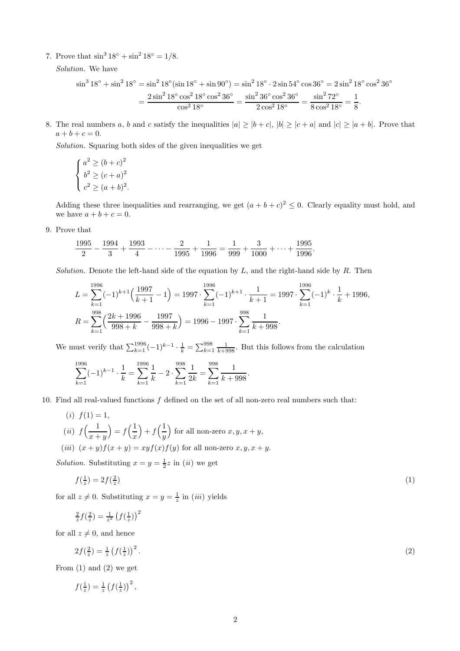7. Prove that  $\sin^3 18^\circ + \sin^2 18^\circ = 1/8$ .

Solution. We have

$$
\sin^3 18^\circ + \sin^2 18^\circ = \sin^2 18^\circ (\sin 18^\circ + \sin 90^\circ) = \sin^2 18^\circ \cdot 2 \sin 54^\circ \cos 36^\circ = 2 \sin^2 18^\circ \cos^2 36^\circ
$$

$$
= \frac{2 \sin^2 18^\circ \cos^2 18^\circ \cos^2 36^\circ}{\cos^2 18^\circ} = \frac{\sin^2 36^\circ \cos^2 36^\circ}{2 \cos^2 18^\circ} = \frac{\sin^2 72^\circ}{8 \cos^2 18^\circ} = \frac{1}{8}.
$$

8. The real numbers a, b and c satisfy the inequalities  $|a| \geq |b+c|$ ,  $|b| \geq |c+a|$  and  $|c| \geq |a+b|$ . Prove that  $a + b + c = 0.$ 

Solution. Squaring both sides of the given inequalities we get

$$
\begin{cases}\na^2 \ge (b+c)^2 \\
b^2 \ge (c+a)^2 \\
c^2 \ge (a+b)^2.\n\end{cases}
$$

Adding these three inequalities and rearranging, we get  $(a + b + c)^2 \leq 0$ . Clearly equality must hold, and we have  $a + b + c = 0$ .

.

9. Prove that

$$
\frac{1995}{2} - \frac{1994}{3} + \frac{1993}{4} - \dots - \frac{2}{1995} + \frac{1}{1996} = \frac{1}{999} + \frac{3}{1000} + \dots + \frac{1995}{1996}
$$

Solution. Denote the left-hand side of the equation by  $L$ , and the right-hand side by  $R$ . Then

$$
L = \sum_{k=1}^{1996} (-1)^{k+1} \left(\frac{1997}{k+1} - 1\right) = 1997 \cdot \sum_{k=1}^{1996} (-1)^{k+1} \cdot \frac{1}{k+1} = 1997 \cdot \sum_{k=1}^{1996} (-1)^{k} \cdot \frac{1}{k} + 1996,
$$
  

$$
R = \sum_{k=1}^{998} \left(\frac{2k+1996}{998+k} - \frac{1997}{998+k}\right) = 1996 - 1997 \cdot \sum_{k=1}^{998} \frac{1}{k+998}.
$$

We must verify that  $\sum_{k=1}^{1996} (-1)^{k-1} \cdot \frac{1}{k} = \sum_{k=1}^{998} \frac{1}{k+998}$ . But this follows from the calculation

$$
\sum_{k=1}^{1996} (-1)^{k-1} \cdot \frac{1}{k} = \sum_{k=1}^{1996} \frac{1}{k} - 2 \cdot \sum_{k=1}^{998} \frac{1}{2k} = \sum_{k=1}^{998} \frac{1}{k + 998}.
$$

10. Find all real-valued functions  $f$  defined on the set of all non-zero real numbers such that:

(i) 
$$
f(1) = 1
$$
,  
\n(ii)  $f\left(\frac{1}{x+y}\right) = f\left(\frac{1}{x}\right) + f\left(\frac{1}{y}\right)$  for all non-zero  $x, y, x + y$ ,  
\n(iii)  $(x+y)f(x+y) = xyf(x)f(y)$  for all non-zero  $x, y, x + y$ .

Solution. Substituting  $x = y = \frac{1}{2}z$  in (*ii*) we get

$$
f\left(\frac{1}{z}\right) = 2f\left(\frac{2}{z}\right) \tag{1}
$$

for all  $z \neq 0$ . Substituting  $x = y = \frac{1}{z}$  in *(iii)* yields

,

$$
\frac{2}{z}f(\frac{2}{z})=\frac{1}{z^2}\left(f(\frac{1}{z})\right)^2
$$

for all  $z \neq 0$ , and hence

$$
2f\left(\frac{2}{z}\right) = \frac{1}{z} \left(f\left(\frac{1}{z}\right)\right)^2. \tag{2}
$$

From  $(1)$  and  $(2)$  we get

$$
f(\tfrac{1}{z}) = \tfrac{1}{z} \left( f(\tfrac{1}{z}) \right)^2
$$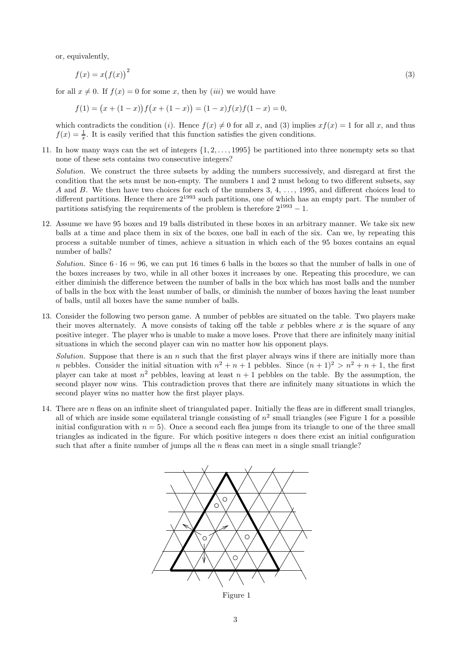or, equivalently,

$$
f(x) = x(f(x))^2
$$
\n(3)

for all  $x \neq 0$ . If  $f(x) = 0$  for some x, then by *(iii)* we would have

 $f(1) = (x + (1-x)) f(x + (1-x)) = (1-x) f(x) f(1-x) = 0,$ 

which contradicts the condition (i). Hence  $f(x) \neq 0$  for all x, and (3) implies  $xf(x) = 1$  for all x, and thus  $f(x) = \frac{1}{x}$ . It is easily verified that this function satisfies the given conditions.

11. In how many ways can the set of integers  $\{1, 2, \ldots, 1995\}$  be partitioned into three nonempty sets so that none of these sets contains two consecutive integers?

Solution. We construct the three subsets by adding the numbers successively, and disregard at first the condition that the sets must be non-empty. The numbers 1 and 2 must belong to two different subsets, say A and B. We then have two choices for each of the numbers 3, 4, ..., 1995, and different choices lead to different partitions. Hence there are  $2^{1993}$  such partitions, one of which has an empty part. The number of partitions satisfying the requirements of the problem is therefore  $2^{1993} - 1$ .

12. Assume we have 95 boxes and 19 balls distributed in these boxes in an arbitrary manner. We take six new balls at a time and place them in six of the boxes, one ball in each of the six. Can we, by repeating this process a suitable number of times, achieve a situation in which each of the 95 boxes contains an equal number of balls?

Solution. Since  $6 \cdot 16 = 96$ , we can put 16 times 6 balls in the boxes so that the number of balls in one of the boxes increases by two, while in all other boxes it increases by one. Repeating this procedure, we can either diminish the difference between the number of balls in the box which has most balls and the number of balls in the box with the least number of balls, or diminish the number of boxes having the least number of balls, until all boxes have the same number of balls.

13. Consider the following two person game. A number of pebbles are situated on the table. Two players make their moves alternately. A move consists of taking off the table  $x$  pebbles where  $x$  is the square of any positive integer. The player who is unable to make a move loses. Prove that there are infinitely many initial situations in which the second player can win no matter how his opponent plays.

Solution. Suppose that there is an  $n$  such that the first player always wins if there are initially more than *n* pebbles. Consider the initial situation with  $n^2 + n + 1$  pebbles. Since  $(n + 1)^2 > n^2 + n + 1$ , the first player can take at most  $n^2$  pebbles, leaving at least  $n+1$  pebbles on the table. By the assumption, the second player now wins. This contradiction proves that there are infinitely many situations in which the second player wins no matter how the first player plays.

14. There are  $n$  fleas on an infinite sheet of triangulated paper. Initially the fleas are in different small triangles, all of which are inside some equilateral triangle consisting of  $n^2$  small triangles (see Figure 1 for a possible initial configuration with  $n = 5$ ). Once a second each flea jumps from its triangle to one of the three small triangles as indicated in the figure. For which positive integers  $n$  does there exist an initial configuration such that after a finite number of jumps all the  $n$  fleas can meet in a single small triangle?



Figure 1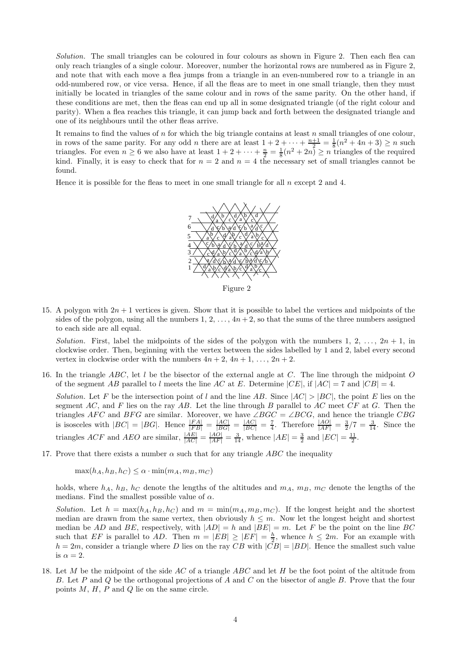Solution. The small triangles can be coloured in four colours as shown in Figure 2. Then each flea can only reach triangles of a single colour. Moreover, number the horizontal rows are numbered as in Figure 2, and note that with each move a flea jumps from a triangle in an even-numbered row to a triangle in an odd-numbered row, or vice versa. Hence, if all the fleas are to meet in one small triangle, then they must initially be located in triangles of the same colour and in rows of the same parity. On the other hand, if these conditions are met, then the fleas can end up all in some designated triangle (of the right colour and parity). When a flea reaches this triangle, it can jump back and forth between the designated triangle and one of its neighbours until the other fleas arrive.

It remains to find the values of n for which the big triangle contains at least n small triangles of one colour, in rows of the same parity. For any odd *n* there are at least  $1+2+\cdots+\frac{n+1}{2}=\frac{1}{8}(n^2+4n+3)\geq n$  such triangles. For even  $n \ge 6$  we also have at least  $1 + 2 + \cdots + \frac{n}{2} = \frac{1}{8}(n^2 + 2n) \ge n$  triangles of the required kind. Finally, it is easy to check that for  $n = 2$  and  $n = 4$  the necessary set of small triangles cannot be found.

Hence it is possible for the fleas to meet in one small triangle for all  $n$  except 2 and 4.



Figure 2

15. A polygon with  $2n + 1$  vertices is given. Show that it is possible to label the vertices and midpoints of the sides of the polygon, using all the numbers 1, 2,  $\dots$ ,  $4n+2$ , so that the sums of the three numbers assigned to each side are all equal.

Solution. First, label the midpoints of the sides of the polygon with the numbers 1, 2, ...,  $2n + 1$ , in clockwise order. Then, beginning with the vertex between the sides labelled by 1 and 2, label every second vertex in clockwise order with the numbers  $4n + 2$ ,  $4n + 1$ , ...,  $2n + 2$ .

16. In the triangle ABC, let  $l$  be the bisector of the external angle at C. The line through the midpoint O of the segment AB parallel to l meets the line AC at E. Determine  $|CE|$ , if  $|AC| = 7$  and  $|CB| = 4$ .

Solution. Let F be the intersection point of l and the line AB. Since  $|AC| > |BC|$ , the point E lies on the segment AC, and F lies on the ray AB. Let the line through B parallel to AC meet  $CF$  at G. Then the triangles AFC and BFG are similar. Moreover, we have  $\angle BGC = \angle BCG$ , and hence the triangle CBG is isosceles with  $|BC| = |BG|$ . Hence  $\frac{|FA|}{|FB|} = \frac{|AC|}{|BG|} = \frac{|AC|}{|BC|} = \frac{7}{4}$ . Therefore  $\frac{|AO|}{|AF|} = \frac{3}{2}/7 = \frac{3}{14}$ . Since the triangles ACF and AEO are similar,  $\frac{|AE|}{|AC|} = \frac{|AO|}{|AF|} = \frac{3}{14}$ , whence  $|AE| = \frac{3}{2}$  and  $|EC| = \frac{11}{2}$ .

17. Prove that there exists a number  $\alpha$  such that for any triangle ABC the inequality

 $\max(h_A, h_B, h_C) \leq \alpha \cdot \min(m_A, m_B, m_C)$ 

holds, where  $h_A$ ,  $h_B$ ,  $h_C$  denote the lengths of the altitudes and  $m_A$ ,  $m_B$ ,  $m_C$  denote the lengths of the medians. Find the smallest possible value of  $\alpha$ .

Solution. Let  $h = \max(h_A, h_B, h_C)$  and  $m = \min(m_A, m_B, m_C)$ . If the longest height and the shortest median are drawn from the same vertex, then obviously  $h \leq m$ . Now let the longest height and shortest median be AD and BE, respectively, with  $|AD| = h$  and  $|BE| = m$ . Let F be the point on the line BC such that EF is parallel to AD. Then  $m = |EB| \geq |EF| = \frac{h}{2}$ , whence  $h \leq 2m$ . For an example with  $h = 2m$ , consider a triangle where D lies on the ray CB with  $|CB| = |BD|$ . Hence the smallest such value is  $\alpha = 2$ .

18. Let M be the midpoint of the side AC of a triangle ABC and let H be the foot point of the altitude from B. Let P and Q be the orthogonal projections of A and C on the bisector of angle B. Prove that the four points  $M, H, P$  and  $Q$  lie on the same circle.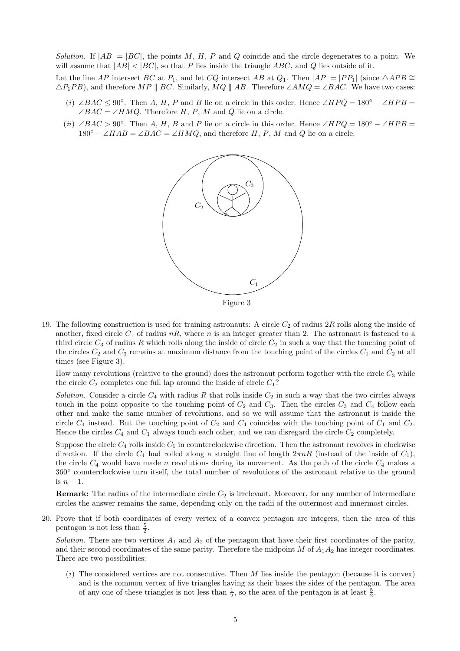Solution. If  $|AB| = |BC|$ , the points M, H, P and Q coincide and the circle degenerates to a point. We will assume that  $|AB| < |BC|$ , so that P lies inside the triangle ABC, and Q lies outside of it.

Let the line AP intersect BC at P<sub>1</sub>, and let CQ intersect AB at Q<sub>1</sub>. Then  $|AP| = |PP_1|$  (since  $\triangle APB \cong$  $\triangle P_1PB$ , and therefore MP || BC. Similarly, MQ || AB. Therefore ∠AMQ = ∠BAC. We have two cases:

- (i) ∠BAC  $\leq 90^{\circ}$ . Then A, H, P and B lie on a circle in this order. Hence ∠HPQ = 180° ∠HPB =  $\angle BAC = \angle HMQ$ . Therefore H, P, M and Q lie on a circle.
- (ii) ∠BAC > 90°. Then A, H, B and P lie on a circle in this order. Hence ∠HPQ = 180° ∠HPB =  $180° - \angle HAB = \angle BAC = \angle HMQ$ , and therefore H, P, M and Q lie on a circle.



19. The following construction is used for training astronauts: A circle  $C_2$  of radius  $2R$  rolls along the inside of another, fixed circle  $C_1$  of radius  $nR$ , where n is an integer greater than 2. The astronaut is fastened to a third circle  $C_3$  of radius R which rolls along the inside of circle  $C_2$  in such a way that the touching point of the circles  $C_2$  and  $C_3$  remains at maximum distance from the touching point of the circles  $C_1$  and  $C_2$  at all times (see Figure 3).

How many revolutions (relative to the ground) does the astronaut perform together with the circle  $C_3$  while the circle  $C_2$  completes one full lap around the inside of circle  $C_1$ ?

Solution. Consider a circle  $C_4$  with radius R that rolls inside  $C_2$  in such a way that the two circles always touch in the point opposite to the touching point of  $C_2$  and  $C_3$ . Then the circles  $C_3$  and  $C_4$  follow each other and make the same number of revolutions, and so we will assume that the astronaut is inside the circle  $C_4$  instead. But the touching point of  $C_2$  and  $C_4$  coincides with the touching point of  $C_1$  and  $C_2$ . Hence the circles  $C_4$  and  $C_1$  always touch each other, and we can disregard the circle  $C_2$  completely.

Suppose the circle  $C_4$  rolls inside  $C_1$  in counterclockwise direction. Then the astronaut revolves in clockwise direction. If the circle  $C_4$  had rolled along a straight line of length  $2\pi nR$  (instead of the inside of  $C_1$ ), the circle  $C_4$  would have made n revolutions during its movement. As the path of the circle  $C_4$  makes a 360◦ counterclockwise turn itself, the total number of revolutions of the astronaut relative to the ground is  $n-1$ .

**Remark:** The radius of the intermediate circle  $C_2$  is irrelevant. Moreover, for any number of intermediate circles the answer remains the same, depending only on the radii of the outermost and innermost circles.

20. Prove that if both coordinates of every vertex of a convex pentagon are integers, then the area of this pentagon is not less than  $\frac{5}{2}$ .

Solution. There are two vertices  $A_1$  and  $A_2$  of the pentagon that have their first coordinates of the parity, and their second coordinates of the same parity. Therefore the midpoint  $M$  of  $A_1A_2$  has integer coordinates. There are two possibilities:

 $(i)$  The considered vertices are not consecutive. Then M lies inside the pentagon (because it is convex) and is the common vertex of five triangles having as their bases the sides of the pentagon. The area of any one of these triangles is not less than  $\frac{1}{2}$ , so the area of the pentagon is at least  $\frac{5}{2}$ .